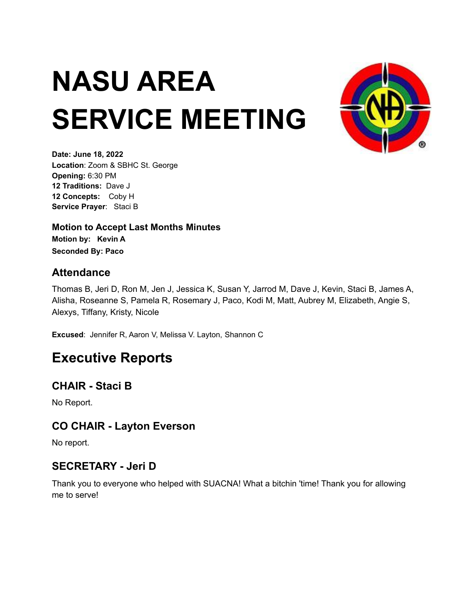# **NASU AREA SERVICE MEETING**



**Date: June 18, 2022 Location**: Zoom & SBHC St. George **Opening:** 6:30 PM **12 Traditions:** Dave J **12 Concepts:** Coby H **Service Prayer**: Staci B

**Motion to Accept Last Months Minutes Motion by: Kevin A Seconded By: Paco**

#### **Attendance**

Thomas B, Jeri D, Ron M, Jen J, Jessica K, Susan Y, Jarrod M, Dave J, Kevin, Staci B, James A, Alisha, Roseanne S, Pamela R, Rosemary J, Paco, Kodi M, Matt, Aubrey M, Elizabeth, Angie S, Alexys, Tiffany, Kristy, Nicole

**Excused**: Jennifer R, Aaron V, Melissa V. Layton, Shannon C

## **Executive Reports**

### **CHAIR - Staci B**

No Report.

### **CO CHAIR - Layton Everson**

No report.

### **SECRETARY - Jeri D**

Thank you to everyone who helped with SUACNA! What a bitchin 'time! Thank you for allowing me to serve!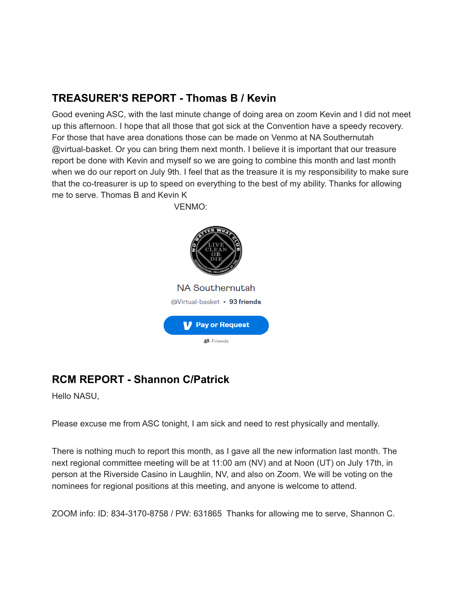### **TREASURER'S REPORT - Thomas B / Kevin**

Good evening ASC, with the last minute change of doing area on zoom Kevin and I did not meet up this afternoon. I hope that all those that got sick at the Convention have a speedy recovery. For those that have area donations those can be made on Venmo at NA Southernutah @virtual-basket. Or you can bring them next month. I believe it is important that our treasure report be done with Kevin and myself so we are going to combine this month and last month when we do our report on July 9th. I feel that as the treasure it is my responsibility to make sure that the co-treasurer is up to speed on everything to the best of my ability. Thanks for allowing me to serve. Thomas B and Kevin K



### **RCM REPORT - Shannon C/Patrick**

Hello NASU,

Please excuse me from ASC tonight, I am sick and need to rest physically and mentally.

There is nothing much to report this month, as I gave all the new information last month. The next regional committee meeting will be at 11:00 am (NV) and at Noon (UT) on July 17th, in person at the Riverside Casino in Laughlin, NV, and also on Zoom. We will be voting on the nominees for regional positions at this meeting, and anyone is welcome to attend.

ZOOM info: ID: 834-3170-8758 / PW: 631865 Thanks for allowing me to serve, Shannon C.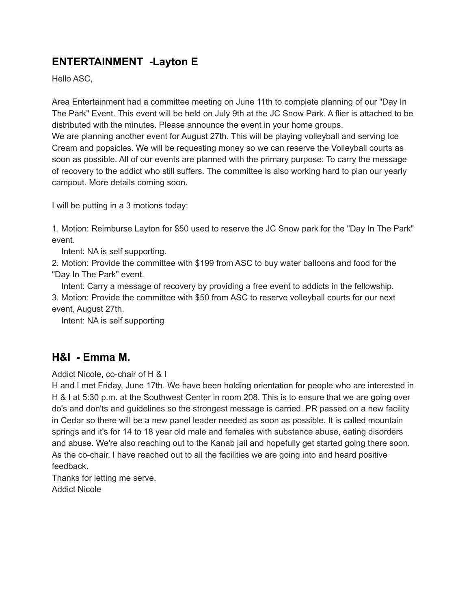### **ENTERTAINMENT -Layton E**

Hello ASC,

Area Entertainment had a committee meeting on June 11th to complete planning of our "Day In The Park" Event. This event will be held on July 9th at the JC Snow Park. A flier is attached to be distributed with the minutes. Please announce the event in your home groups. We are planning another event for August 27th. This will be playing volleyball and serving Ice Cream and popsicles. We will be requesting money so we can reserve the Volleyball courts as soon as possible. All of our events are planned with the primary purpose: To carry the message of recovery to the addict who still suffers. The committee is also working hard to plan our yearly campout. More details coming soon.

I will be putting in a 3 motions today:

1. Motion: Reimburse Layton for \$50 used to reserve the JC Snow park for the "Day In The Park" event.

Intent: NA is self supporting.

2. Motion: Provide the committee with \$199 from ASC to buy water balloons and food for the "Day In The Park" event.

Intent: Carry a message of recovery by providing a free event to addicts in the fellowship. 3. Motion: Provide the committee with \$50 from ASC to reserve volleyball courts for our next event, August 27th.

Intent: NA is self supporting

#### **H&I - Emma M.**

Addict Nicole, co-chair of H & I

H and I met Friday, June 17th. We have been holding orientation for people who are interested in H & I at 5:30 p.m. at the Southwest Center in room 208. This is to ensure that we are going over do's and don'ts and guidelines so the strongest message is carried. PR passed on a new facility in Cedar so there will be a new panel leader needed as soon as possible. It is called mountain springs and it's for 14 to 18 year old male and females with substance abuse, eating disorders and abuse. We're also reaching out to the Kanab jail and hopefully get started going there soon. As the co-chair, I have reached out to all the facilities we are going into and heard positive feedback.

Thanks for letting me serve. Addict Nicole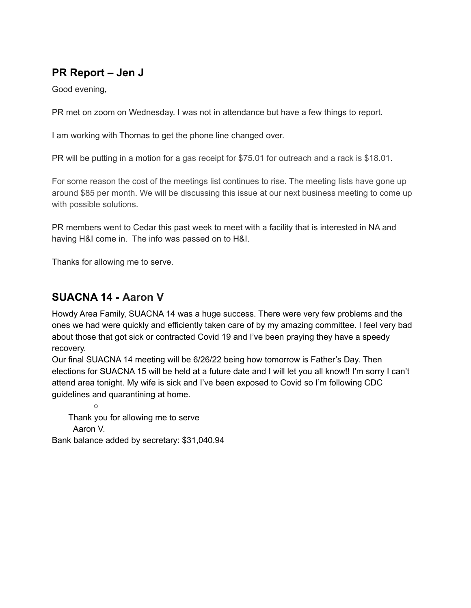### **PR Report – Jen J**

Good evening,

PR met on zoom on Wednesday. I was not in attendance but have a few things to report.

I am working with Thomas to get the phone line changed over.

PR will be putting in a motion for a gas receipt for \$75.01 for outreach and a rack is \$18.01.

For some reason the cost of the meetings list continues to rise. The meeting lists have gone up around \$85 per month. We will be discussing this issue at our next business meeting to come up with possible solutions.

PR members went to Cedar this past week to meet with a facility that is interested in NA and having H&I come in. The info was passed on to H&I.

Thanks for allowing me to serve.

### **SUACNA 14 - Aaron V**

 $\circ$ 

Howdy Area Family, SUACNA 14 was a huge success. There were very few problems and the ones we had were quickly and efficiently taken care of by my amazing committee. I feel very bad about those that got sick or contracted Covid 19 and I've been praying they have a speedy recovery.

Our final SUACNA 14 meeting will be 6/26/22 being how tomorrow is Father's Day. Then elections for SUACNA 15 will be held at a future date and I will let you all know!! I'm sorry I can't attend area tonight. My wife is sick and I've been exposed to Covid so I'm following CDC guidelines and quarantining at home.

Thank you for allowing me to serve Aaron V. Bank balance added by secretary: \$31,040.94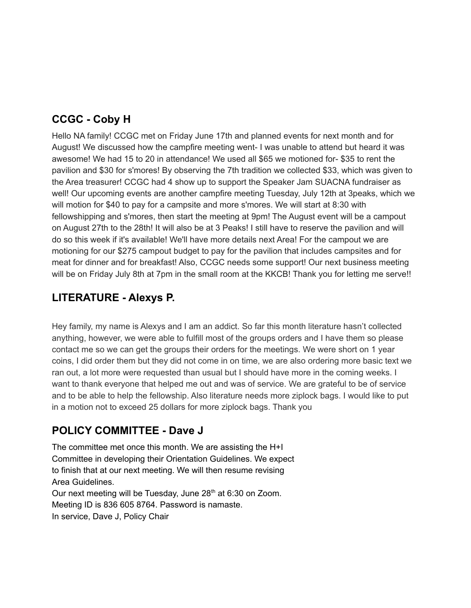### **CCGC - Coby H**

Hello NA family! CCGC met on Friday June 17th and planned events for next month and for August! We discussed how the campfire meeting went- I was unable to attend but heard it was awesome! We had 15 to 20 in attendance! We used all \$65 we motioned for- \$35 to rent the pavilion and \$30 for s'mores! By observing the 7th tradition we collected \$33, which was given to the Area treasurer! CCGC had 4 show up to support the Speaker Jam SUACNA fundraiser as well! Our upcoming events are another campfire meeting Tuesday, July 12th at 3peaks, which we will motion for \$40 to pay for a campsite and more s'mores. We will start at 8:30 with fellowshipping and s'mores, then start the meeting at 9pm! The August event will be a campout on August 27th to the 28th! It will also be at 3 Peaks! I still have to reserve the pavilion and will do so this week if it's available! We'll have more details next Area! For the campout we are motioning for our \$275 campout budget to pay for the pavilion that includes campsites and for meat for dinner and for breakfast! Also, CCGC needs some support! Our next business meeting will be on Friday July 8th at 7pm in the small room at the KKCB! Thank you for letting me serve!!

### **LITERATURE - Alexys P.**

Hey family, my name is Alexys and I am an addict. So far this month literature hasn't collected anything, however, we were able to fulfill most of the groups orders and I have them so please contact me so we can get the groups their orders for the meetings. We were short on 1 year coins, I did order them but they did not come in on time, we are also ordering more basic text we ran out, a lot more were requested than usual but I should have more in the coming weeks. I want to thank everyone that helped me out and was of service. We are grateful to be of service and to be able to help the fellowship. Also literature needs more ziplock bags. I would like to put in a motion not to exceed 25 dollars for more ziplock bags. Thank you

### **POLICY COMMITTEE - Dave J**

The committee met once this month. We are assisting the H+I Committee in developing their Orientation Guidelines. We expect to finish that at our next meeting. We will then resume revising Area Guidelines. Our next meeting will be Tuesday, June 28<sup>th</sup> at 6:30 on Zoom. Meeting ID is 836 605 8764. Password is namaste. In service, Dave J, Policy Chair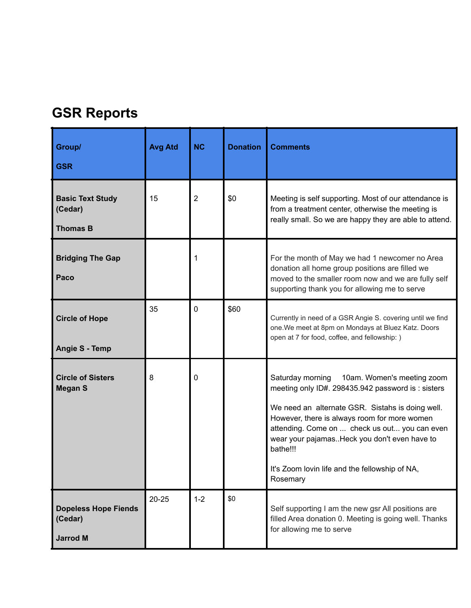# **GSR Reports**

| Group/<br><b>GSR</b>                                      | <b>Avg Atd</b> | <b>NC</b>      | <b>Donation</b> | <b>Comments</b>                                                                                                                                                                                                                                                                                                                                                                    |
|-----------------------------------------------------------|----------------|----------------|-----------------|------------------------------------------------------------------------------------------------------------------------------------------------------------------------------------------------------------------------------------------------------------------------------------------------------------------------------------------------------------------------------------|
| <b>Basic Text Study</b><br>(Cedar)<br><b>Thomas B</b>     | 15             | $\overline{2}$ | \$0             | Meeting is self supporting. Most of our attendance is<br>from a treatment center, otherwise the meeting is<br>really small. So we are happy they are able to attend.                                                                                                                                                                                                               |
| <b>Bridging The Gap</b><br>Paco                           |                |                |                 | For the month of May we had 1 newcomer no Area<br>donation all home group positions are filled we<br>moved to the smaller room now and we are fully self<br>supporting thank you for allowing me to serve                                                                                                                                                                          |
| <b>Circle of Hope</b><br><b>Angie S - Temp</b>            | 35             | 0              | \$60            | Currently in need of a GSR Angie S. covering until we find<br>one. We meet at 8pm on Mondays at Bluez Katz. Doors<br>open at 7 for food, coffee, and fellowship: )                                                                                                                                                                                                                 |
| <b>Circle of Sisters</b><br><b>Megan S</b>                | 8              | 0              |                 | Saturday morning<br>10am. Women's meeting zoom<br>meeting only ID#. 298435.942 password is: sisters<br>We need an alternate GSR. Sistahs is doing well.<br>However, there is always room for more women<br>attending. Come on  check us out you can even<br>wear your pajamasHeck you don't even have to<br>bathe!!!<br>It's Zoom lovin life and the fellowship of NA,<br>Rosemary |
| <b>Dopeless Hope Fiends</b><br>(Cedar)<br><b>Jarrod M</b> | $20 - 25$      | $1 - 2$        | \$0             | Self supporting I am the new gsr All positions are<br>filled Area donation 0. Meeting is going well. Thanks<br>for allowing me to serve                                                                                                                                                                                                                                            |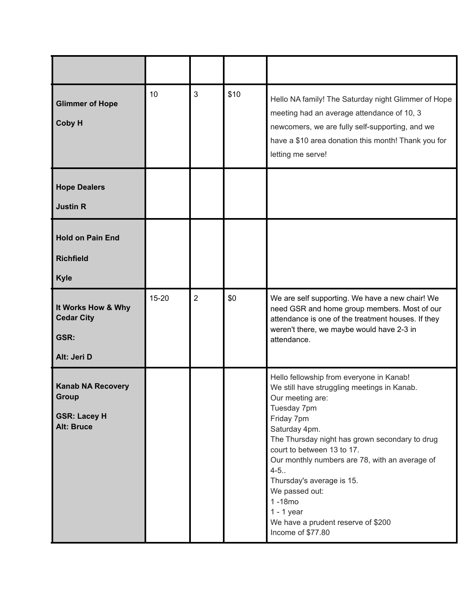| <b>Glimmer of Hope</b><br><b>Coby H</b>                                       | 10        | 3              | \$10 | Hello NA family! The Saturday night Glimmer of Hope<br>meeting had an average attendance of 10, 3<br>newcomers, we are fully self-supporting, and we<br>have a \$10 area donation this month! Thank you for<br>letting me serve!                                                                                                                                                                                                                 |
|-------------------------------------------------------------------------------|-----------|----------------|------|--------------------------------------------------------------------------------------------------------------------------------------------------------------------------------------------------------------------------------------------------------------------------------------------------------------------------------------------------------------------------------------------------------------------------------------------------|
| <b>Hope Dealers</b><br><b>Justin R</b>                                        |           |                |      |                                                                                                                                                                                                                                                                                                                                                                                                                                                  |
| <b>Hold on Pain End</b><br><b>Richfield</b><br><b>Kyle</b>                    |           |                |      |                                                                                                                                                                                                                                                                                                                                                                                                                                                  |
| It Works How & Why<br><b>Cedar City</b><br>GSR:<br>Alt: Jeri D                | $15 - 20$ | $\overline{2}$ | \$0  | We are self supporting. We have a new chair! We<br>need GSR and home group members. Most of our<br>attendance is one of the treatment houses. If they<br>weren't there, we maybe would have 2-3 in<br>attendance.                                                                                                                                                                                                                                |
| <b>Kanab NA Recovery</b><br>Group<br><b>GSR: Lacey H</b><br><b>Alt: Bruce</b> |           |                |      | Hello fellowship from everyone in Kanab!<br>We still have struggling meetings in Kanab.<br>Our meeting are:<br>Tuesday 7pm<br>Friday 7pm<br>Saturday 4pm.<br>The Thursday night has grown secondary to drug<br>court to between 13 to 17.<br>Our monthly numbers are 78, with an average of<br>$4 - 5.$<br>Thursday's average is 15.<br>We passed out:<br>$1 - 18$ mo<br>$1 - 1$ year<br>We have a prudent reserve of \$200<br>Income of \$77.80 |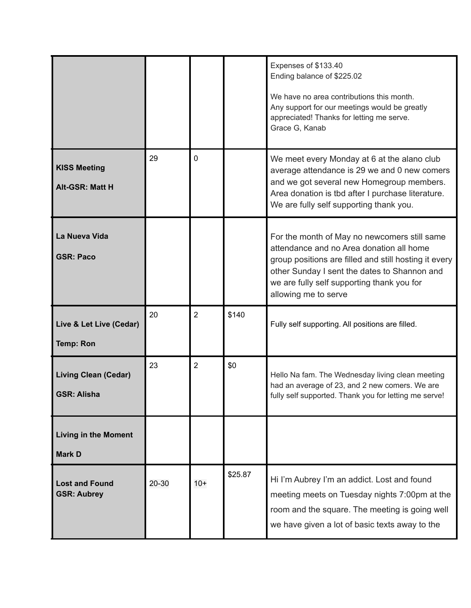|                                                   |       |                |         | Expenses of \$133.40<br>Ending balance of \$225.02<br>We have no area contributions this month.<br>Any support for our meetings would be greatly<br>appreciated! Thanks for letting me serve.<br>Grace G, Kanab                                                         |
|---------------------------------------------------|-------|----------------|---------|-------------------------------------------------------------------------------------------------------------------------------------------------------------------------------------------------------------------------------------------------------------------------|
| <b>KISS Meeting</b><br><b>Alt-GSR: Matt H</b>     | 29    | $\Omega$       |         | We meet every Monday at 6 at the alano club<br>average attendance is 29 we and 0 new comers<br>and we got several new Homegroup members.<br>Area donation is tbd after I purchase literature.<br>We are fully self supporting thank you.                                |
| La Nueva Vida<br><b>GSR: Paco</b>                 |       |                |         | For the month of May no newcomers still same<br>attendance and no Area donation all home<br>group positions are filled and still hosting it every<br>other Sunday I sent the dates to Shannon and<br>we are fully self supporting thank you for<br>allowing me to serve |
| Live & Let Live (Cedar)<br><b>Temp: Ron</b>       | 20    | $\overline{2}$ | \$140   | Fully self supporting. All positions are filled.                                                                                                                                                                                                                        |
| <b>Living Clean (Cedar)</b><br><b>GSR: Alisha</b> | 23    | $\overline{2}$ | \$0     | Hello Na fam. The Wednesday living clean meeting<br>had an average of 23, and 2 new comers. We are<br>fully self supported. Thank you for letting me serve!                                                                                                             |
| <b>Living in the Moment</b><br><b>Mark D</b>      |       |                |         |                                                                                                                                                                                                                                                                         |
| <b>Lost and Found</b><br><b>GSR: Aubrey</b>       | 20-30 | $10+$          | \$25.87 | Hi I'm Aubrey I'm an addict. Lost and found<br>meeting meets on Tuesday nights 7:00pm at the<br>room and the square. The meeting is going well<br>we have given a lot of basic texts away to the                                                                        |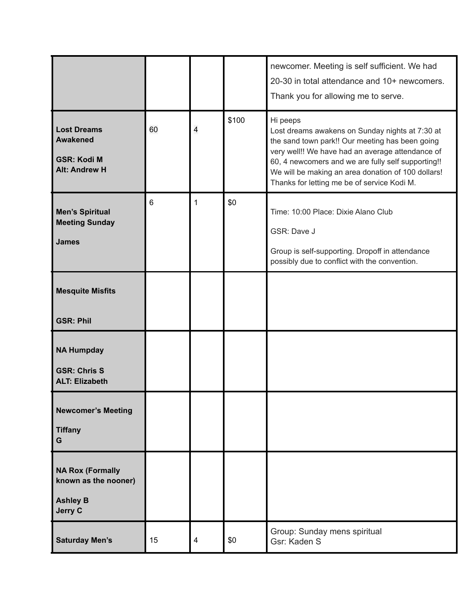|                                                                                     |    |   |       | newcomer. Meeting is self sufficient. We had<br>20-30 in total attendance and 10+ newcomers.<br>Thank you for allowing me to serve.                                                                                                                                                                                           |
|-------------------------------------------------------------------------------------|----|---|-------|-------------------------------------------------------------------------------------------------------------------------------------------------------------------------------------------------------------------------------------------------------------------------------------------------------------------------------|
| <b>Lost Dreams</b><br><b>Awakened</b><br><b>GSR: Kodi M</b><br><b>Alt: Andrew H</b> | 60 | 4 | \$100 | Hi peeps<br>Lost dreams awakens on Sunday nights at 7:30 at<br>the sand town park!! Our meeting has been going<br>very well!! We have had an average attendance of<br>60, 4 newcomers and we are fully self supporting!!<br>We will be making an area donation of 100 dollars!<br>Thanks for letting me be of service Kodi M. |
| <b>Men's Spiritual</b><br><b>Meeting Sunday</b><br><b>James</b>                     | 6  | 1 | \$0   | Time: 10:00 Place: Dixie Alano Club<br>GSR: Dave J<br>Group is self-supporting. Dropoff in attendance<br>possibly due to conflict with the convention.                                                                                                                                                                        |
| <b>Mesquite Misfits</b><br><b>GSR: Phil</b>                                         |    |   |       |                                                                                                                                                                                                                                                                                                                               |
| <b>NA Humpday</b><br><b>GSR: Chris S</b><br><b>ALT: Elizabeth</b>                   |    |   |       |                                                                                                                                                                                                                                                                                                                               |
| <b>Newcomer's Meeting</b><br><b>Tiffany</b><br>G                                    |    |   |       |                                                                                                                                                                                                                                                                                                                               |
| <b>NA Rox (Formally</b><br>known as the nooner)<br><b>Ashley B</b><br>Jerry C       |    |   |       |                                                                                                                                                                                                                                                                                                                               |
| <b>Saturday Men's</b>                                                               | 15 | 4 | \$0   | Group: Sunday mens spiritual<br>Gsr: Kaden S                                                                                                                                                                                                                                                                                  |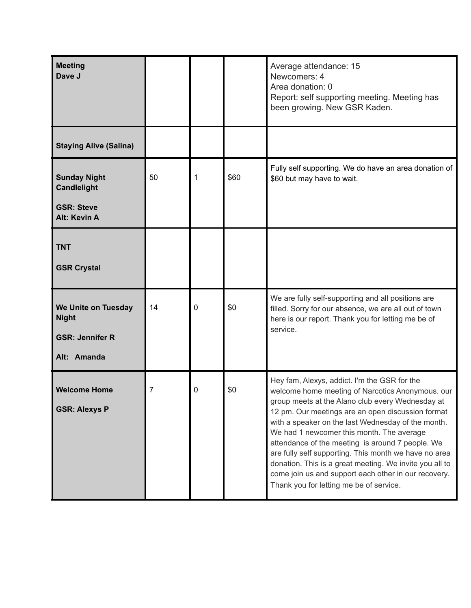| <b>Meeting</b><br>Dave J                                                              |    |             |      | Average attendance: 15<br>Newcomers: 4<br>Area donation: 0<br>Report: self supporting meeting. Meeting has<br>been growing. New GSR Kaden.                                                                                                                                                                                                                                                                                                                                                                                                                                              |
|---------------------------------------------------------------------------------------|----|-------------|------|-----------------------------------------------------------------------------------------------------------------------------------------------------------------------------------------------------------------------------------------------------------------------------------------------------------------------------------------------------------------------------------------------------------------------------------------------------------------------------------------------------------------------------------------------------------------------------------------|
| <b>Staying Alive (Salina)</b>                                                         |    |             |      |                                                                                                                                                                                                                                                                                                                                                                                                                                                                                                                                                                                         |
| <b>Sunday Night</b><br><b>Candlelight</b><br><b>GSR: Steve</b><br><b>Alt: Kevin A</b> | 50 | 1           | \$60 | Fully self supporting. We do have an area donation of<br>\$60 but may have to wait.                                                                                                                                                                                                                                                                                                                                                                                                                                                                                                     |
| <b>TNT</b><br><b>GSR Crystal</b>                                                      |    |             |      |                                                                                                                                                                                                                                                                                                                                                                                                                                                                                                                                                                                         |
| We Unite on Tuesday<br><b>Night</b><br><b>GSR: Jennifer R</b><br>Alt: Amanda          | 14 | $\mathbf 0$ | \$0  | We are fully self-supporting and all positions are<br>filled. Sorry for our absence, we are all out of town<br>here is our report. Thank you for letting me be of<br>service.                                                                                                                                                                                                                                                                                                                                                                                                           |
| <b>Welcome Home</b><br><b>GSR: Alexys P</b>                                           | 7  | 0           | \$0  | Hey fam, Alexys, addict. I'm the GSR for the<br>welcome home meeting of Narcotics Anonymous. our<br>group meets at the Alano club every Wednesday at<br>12 pm. Our meetings are an open discussion format<br>with a speaker on the last Wednesday of the month.<br>We had 1 newcomer this month. The average<br>attendance of the meeting is around 7 people. We<br>are fully self supporting. This month we have no area<br>donation. This is a great meeting. We invite you all to<br>come join us and support each other in our recovery.<br>Thank you for letting me be of service. |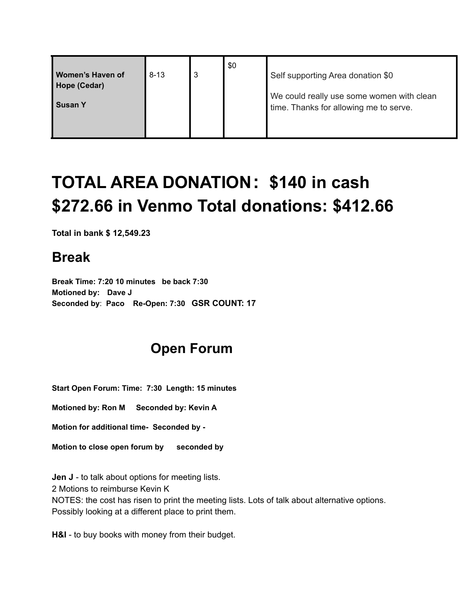| Women's Haven of<br>Hope (Cedar) | $8 - 13$ | -3 | \$0 | Self supporting Area donation \$0                                                   |
|----------------------------------|----------|----|-----|-------------------------------------------------------------------------------------|
| <b>Susan Y</b>                   |          |    |     | We could really use some women with clean<br>time. Thanks for allowing me to serve. |

# **TOTAL AREA DONATION: \$140 in cash \$272.66 in Venmo Total donations: \$412.66**

**Total in bank \$ 12,549.23**

### **Break**

**Break Time: 7:20 10 minutes be back 7:30 Motioned by: Dave J Seconded by**: **Paco Re-Open: 7:30 GSR COUNT: 17**

# **Open Forum**

**Start Open Forum: Time: 7:30 Length: 15 minutes**

**Motioned by: Ron M Seconded by: Kevin A**

**Motion for additional time- Seconded by -**

**Motion to close open forum by seconded by**

**Jen J** - to talk about options for meeting lists. 2 Motions to reimburse Kevin K NOTES: the cost has risen to print the meeting lists. Lots of talk about alternative options. Possibly looking at a different place to print them.

**H&I** - to buy books with money from their budget.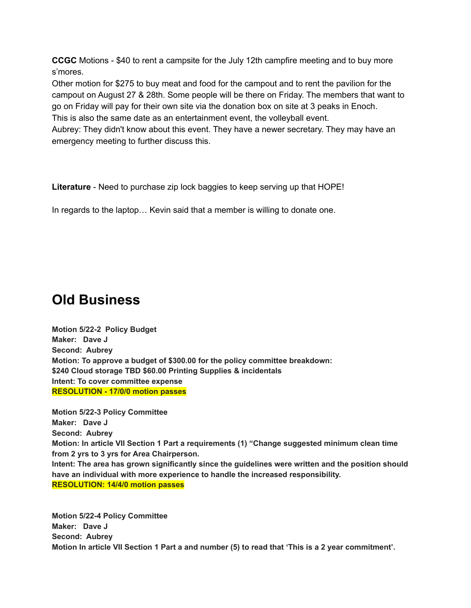**CCGC** Motions - \$40 to rent a campsite for the July 12th campfire meeting and to buy more s'mores.

Other motion for \$275 to buy meat and food for the campout and to rent the pavilion for the campout on August 27 & 28th. Some people will be there on Friday. The members that want to go on Friday will pay for their own site via the donation box on site at 3 peaks in Enoch. This is also the same date as an entertainment event, the volleyball event.

Aubrey: They didn't know about this event. They have a newer secretary. They may have an emergency meeting to further discuss this.

**Literature** - Need to purchase zip lock baggies to keep serving up that HOPE!

In regards to the laptop… Kevin said that a member is willing to donate one.

# **Old Business**

**Motion 5/22-2 Policy Budget Maker: Dave J Second: Aubrey Motion: To approve a budget of \$300.00 for the policy committee breakdown: \$240 Cloud storage TBD \$60.00 Printing Supplies & incidentals Intent: To cover committee expense RESOLUTION - 17/0/0 motion passes**

**Motion 5/22-3 Policy Committee Maker: Dave J Second: Aubrey Motion: In article VII Section 1 Part a requirements (1) "Change suggested minimum clean time from 2 yrs to 3 yrs for Area Chairperson. Intent: The area has grown significantly since the guidelines were written and the position should have an individual with more experience to handle the increased responsibility. RESOLUTION: 14/4/0 motion passes**

**Motion 5/22-4 Policy Committee Maker: Dave J Second: Aubrey** Motion In article VII Section 1 Part a and number (5) to read that 'This is a 2 year commitment'.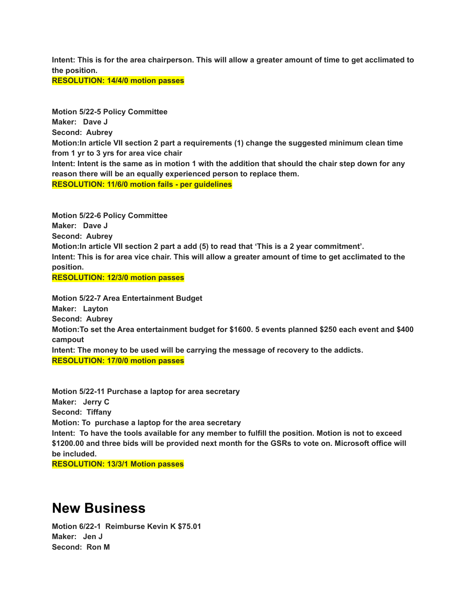Intent: This is for the area chairperson. This will allow a greater amount of time to get acclimated to **the position.**

**RESOLUTION: 14/4/0 motion passes**

**Motion 5/22-5 Policy Committee Maker: Dave J Second: Aubrey Motion:In article VII section 2 part a requirements (1) change the suggested minimum clean time from 1 yr to 3 yrs for area vice chair** Intent: Intent is the same as in motion 1 with the addition that should the chair step down for any **reason there will be an equally experienced person to replace them. RESOLUTION: 11/6/0 motion fails - per guidelines**

**Motion 5/22-6 Policy Committee Maker: Dave J Second: Aubrey Motion:In article VII section 2 part a add (5) to read that 'This is a 2 year commitment'.** Intent: This is for area vice chair. This will allow a greater amount of time to get acclimated to the **position.**

**RESOLUTION: 12/3/0 motion passes**

**Motion 5/22-7 Area Entertainment Budget Maker: Layton Second: Aubrey Motion:To set the Area entertainment budget for \$1600. 5 events planned \$250 each event and \$400 campout Intent: The money to be used will be carrying the message of recovery to the addicts. RESOLUTION: 17/0/0 motion passes**

**Motion 5/22-11 Purchase a laptop for area secretary Maker: Jerry C Second: Tiffany Motion: To purchase a laptop for the area secretary** Intent: To have the tools available for any member to fulfill the position. Motion is not to exceed **\$1200.00 and three bids will be provided next month for the GSRs to vote on. Microsoft office will be included.**

**RESOLUTION: 13/3/1 Motion passes**

### **New Business**

**Motion 6/22-1 Reimburse Kevin K \$75.01 Maker: Jen J Second: Ron M**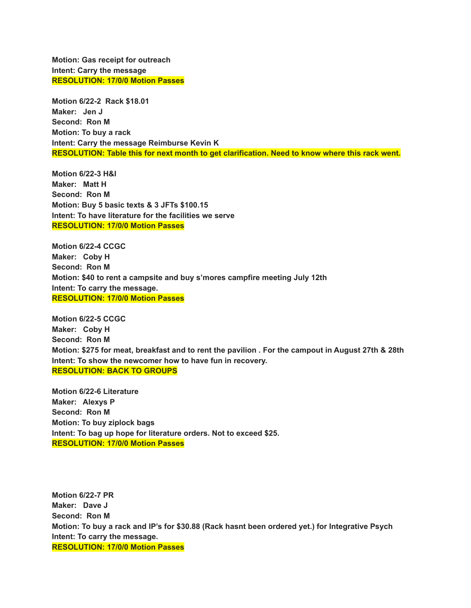**Motion: Gas receipt for outreach Intent: Carry the message RESOLUTION: 17/0/0 Motion Passes**

**Motion 6/22-2 Rack \$18.01 Maker: Jen J Second: Ron M Motion: To buy a rack Intent: Carry the message Reimburse Kevin K RESOLUTION: Table this for next month to get clarification. Need to know where this rack went.**

**Motion 6/22-3 H&I Maker: Matt H Second: Ron M Motion: Buy 5 basic texts & 3 JFTs \$100.15 Intent: To have literature for the facilities we serve RESOLUTION: 17/0/0 Motion Passes**

**Motion 6/22-4 CCGC Maker: Coby H Second: Ron M Motion: \$40 to rent a campsite and buy s'mores campfire meeting July 12th Intent: To carry the message. RESOLUTION: 17/0/0 Motion Passes**

**Motion 6/22-5 CCGC Maker: Coby H Second: Ron M** Motion: \$275 for meat, breakfast and to rent the pavilion . For the campout in August 27th & 28th **Intent: To show the newcomer how to have fun in recovery. RESOLUTION: BACK TO GROUPS**

**Motion 6/22-6 Literature Maker: Alexys P Second: Ron M Motion: To buy ziplock bags Intent: To bag up hope for literature orders. Not to exceed \$25. RESOLUTION: 17/0/0 Motion Passes**

**Motion 6/22-7 PR Maker: Dave J Second: Ron M Motion: To buy a rack and IP's for \$30.88 (Rack hasnt been ordered yet.) for Integrative Psych Intent: To carry the message. RESOLUTION: 17/0/0 Motion Passes**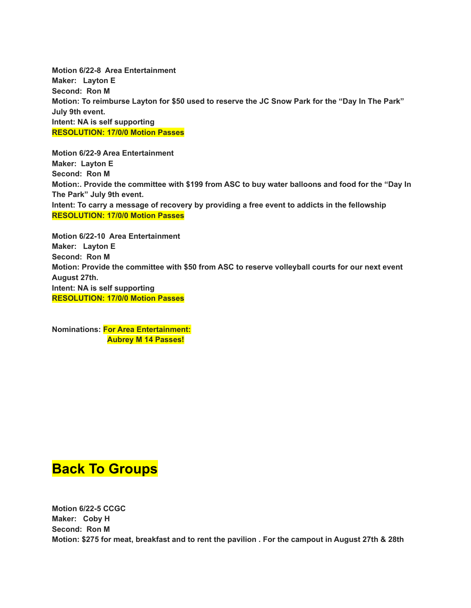**Motion 6/22-8 Area Entertainment Maker: Layton E Second: Ron M** Motion: To reimburse Layton for \$50 used to reserve the JC Snow Park for the "Day In The Park" **July 9th event. Intent: NA is self supporting RESOLUTION: 17/0/0 Motion Passes**

**Motion 6/22-9 Area Entertainment Maker: Layton E Second: Ron M Motion:. Provide the committee with \$199 from ASC to buy water balloons and food for the "Day In The Park" July 9th event. Intent: To carry a message of recovery by providing a free event to addicts in the fellowship RESOLUTION: 17/0/0 Motion Passes**

**Motion 6/22-10 Area Entertainment Maker: Layton E Second: Ron M Motion: Provide the committee with \$50 from ASC to reserve volleyball courts for our next event August 27th. Intent: NA is self supporting RESOLUTION: 17/0/0 Motion Passes**

**Nominations: For Area Entertainment: Aubrey M 14 Passes!**

### **Back To Groups**

**Motion 6/22-5 CCGC Maker: Coby H Second: Ron M** Motion: \$275 for meat, breakfast and to rent the pavilion . For the campout in August 27th & 28th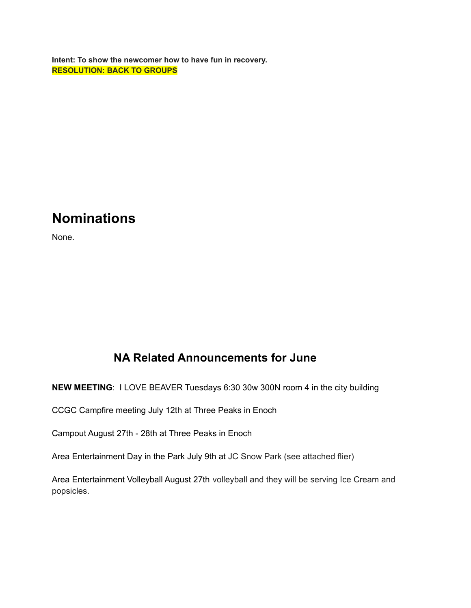**Intent: To show the newcomer how to have fun in recovery. RESOLUTION: BACK TO GROUPS**

## **Nominations**

None.

### **NA Related Announcements for June**

**NEW MEETING**: I LOVE BEAVER Tuesdays 6:30 30w 300N room 4 in the city building

CCGC Campfire meeting July 12th at Three Peaks in Enoch

Campout August 27th - 28th at Three Peaks in Enoch

Area Entertainment Day in the Park July 9th at JC Snow Park (see attached flier)

Area Entertainment Volleyball August 27th volleyball and they will be serving Ice Cream and popsicles.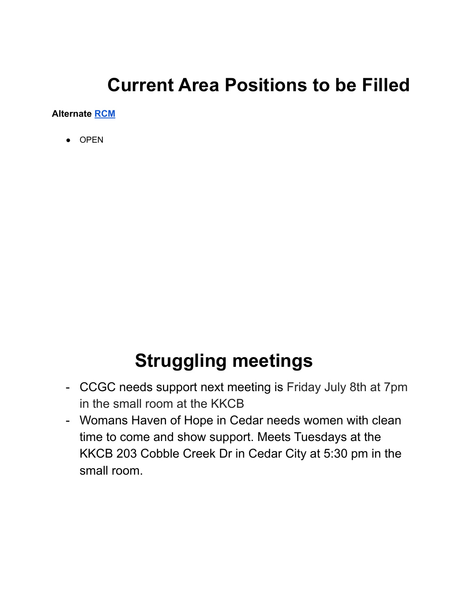# **Current Area Positions to be Filled**

**Alternate [RCM](https://drive.google.com/file/d/1mp5Zfyc-_2gkb6r9o2KZzPpLteAFr3du/view?usp=sharing)**

● OPEN

# **Struggling meetings**

- CCGC needs support next meeting is Friday July 8th at 7pm in the small room at the KKCB
- Womans Haven of Hope in Cedar needs women with clean time to come and show support. Meets Tuesdays at the KKCB 203 Cobble Creek Dr in Cedar City at 5:30 pm in the small room.